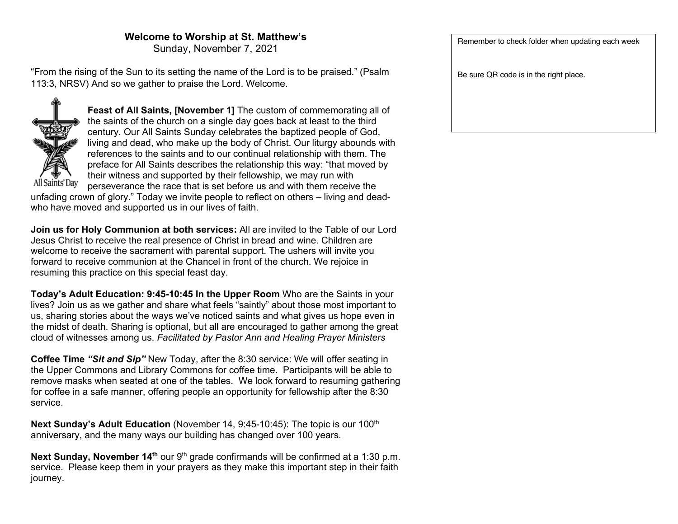## **Welcome to Worship at St. Matthew's**

Sunday, November 7, 2021

"From the rising of the Sun to its setting the name of the Lord is to be praised." (Psalm 113:3, NRSV) And so we gather to praise the Lord. Welcome.



**Feast of All Saints, [November 1]** The custom of commemorating all of the saints of the church on a single day goes back at least to the third century. Our All Saints Sunday celebrates the baptized people of God, living and dead, who make up the body of Christ. Our liturgy abounds with references to the saints and to our continual relationship with them. The preface for All Saints describes the relationship this way: "that moved by their witness and supported by their fellowship, we may run with perseverance the race that is set before us and with them receive the

unfading crown of glory." Today we invite people to reflect on others – living and deadwho have moved and supported us in our lives of faith.

**Join us for Holy Communion at both services:** All are invited to the Table of our Lord Jesus Christ to receive the real presence of Christ in bread and wine. Children are welcome to receive the sacrament with parental support. The ushers will invite you forward to receive communion at the Chancel in front of the church. We rejoice in resuming this practice on this special feast day.

**Today's Adult Education: 9:45-10:45 In the Upper Room** Who are the Saints in your lives? Join us as we gather and share what feels "saintly" about those most important to us, sharing stories about the ways we've noticed saints and what gives us hope even in the midst of death. Sharing is optional, but all are encouraged to gather among the great cloud of witnesses among us. *Facilitated by Pastor Ann and Healing Prayer Ministers*

**Coffee Time** *"Sit and Sip"* New Today, after the 8:30 service: We will offer seating in the Upper Commons and Library Commons for coffee time. Participants will be able to remove masks when seated at one of the tables. We look forward to resuming gathering for coffee in a safe manner, offering people an opportunity for fellowship after the 8:30 service.

**Next Sunday's Adult Education** (November 14, 9:45-10:45): The topic is our 100<sup>th</sup> anniversary, and the many ways our building has changed over 100 years.

Next Sunday, November 14<sup>th</sup> our 9<sup>th</sup> grade confirmands will be confirmed at a 1:30 p.m. service. Please keep them in your prayers as they make this important step in their faith journey.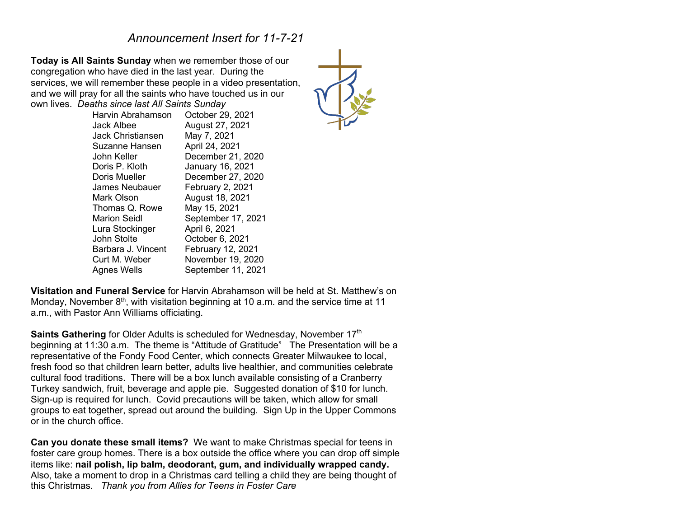## *Announcement Insert for 11-7-21*

**Today is All Saints Sunday** when we remember those of our congregation who have died in the last year. During the services, we will remember these people in a video presentation, and we will pray for all the saints who have touched us in our own lives. *Deaths since last All Saints Sunday*

| Harvin Abrahamson  | October 29, 2021   |
|--------------------|--------------------|
| Jack Albee         | August 27, 2021    |
| Jack Christiansen  | May 7, 2021        |
| Suzanne Hansen     | April 24, 2021     |
| John Keller        | December 21, 2020  |
| Doris P. Kloth     | January 16, 2021   |
| Doris Mueller      | December 27, 2020  |
| James Neubauer     | February 2, 2021   |
| Mark Olson         | August 18, 2021    |
| Thomas Q. Rowe     | May 15, 2021       |
| Marion Seidl       | September 17, 2021 |
| Lura Stockinger    | April 6, 2021      |
| John Stolte        | October 6, 2021    |
| Barbara J. Vincent | February 12, 2021  |
| Curt M. Weber      | November 19, 2020  |
| Agnes Wells        | September 11, 2021 |
|                    |                    |



**Visitation and Funeral Service** for Harvin Abrahamson will be held at St. Matthew's on Monday, November  $8<sup>th</sup>$ , with visitation beginning at 10 a.m. and the service time at 11 a.m., with Pastor Ann Williams officiating.

**Saints Gathering** for Older Adults is scheduled for Wednesday, November 17<sup>th</sup> beginning at 11:30 a.m. The theme is "Attitude of Gratitude" The Presentation will be a representative of the Fondy Food Center, which connects Greater Milwaukee to local, fresh food so that children learn better, adults live healthier, and communities celebrate cultural food traditions. There will be a box lunch available consisting of a Cranberry Turkey sandwich, fruit, beverage and apple pie. Suggested donation of \$10 for lunch. Sign-up is required for lunch. Covid precautions will be taken, which allow for small groups to eat together, spread out around the building. Sign Up in the Upper Commons or in the church office.

**Can you donate these small items?** We want to make Christmas special for teens in foster care group homes. There is a box outside the office where you can drop off simple items like: **nail polish, lip balm, deodorant, gum, and individually wrapped candy.** Also, take a moment to drop in a Christmas card telling a child they are being thought of this Christmas*. Thank you from Allies for Teens in Foster Care*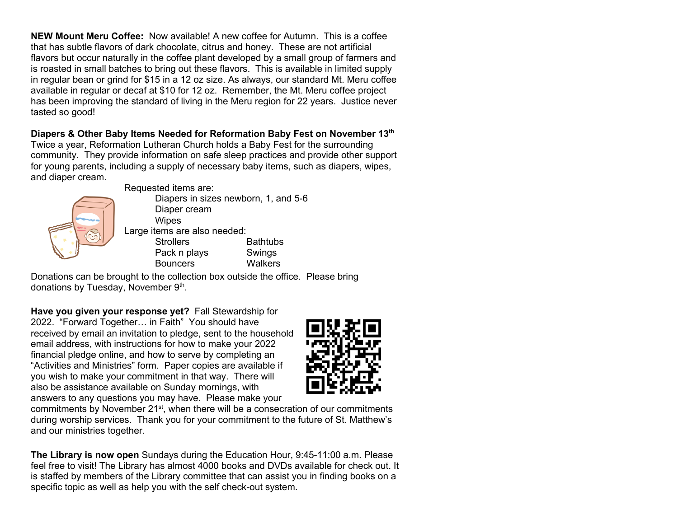**NEW Mount Meru Coffee:** Now available! A new coffee for Autumn. This is a coffee that has subtle flavors of dark chocolate, citrus and honey. These are not artificial flavors but occur naturally in the coffee plant developed by a small group of farmers and is roasted in small batches to bring out these flavors. This is available in limited supply in regular bean or grind for \$15 in a 12 oz size. As always, our standard Mt. Meru coffee available in regular or decaf at \$10 for 12 oz. Remember, the Mt. Meru coffee project has been improving the standard of living in the Meru region for 22 years. Justice never tasted so good!

**Diapers & Other Baby Items Needed for Reformation Baby Fest on November 13th** Twice a year, Reformation Lutheran Church holds a Baby Fest for the surrounding community. They provide information on safe sleep practices and provide other support for young parents, including a supply of necessary baby items, such as diapers, wipes, and diaper cream.



Requested items are:

Diapers in sizes newborn, 1, and 5-6 Diaper cream **Wipes** Large items are also needed: Strollers **Bathtubs** Pack n plays Swings Bouncers Walkers

Donations can be brought to the collection box outside the office. Please bring donations by Tuesday, November 9th.

**Have you given your response yet?** Fall Stewardship for 2022. "Forward Together… in Faith" You should have received by email an invitation to pledge, sent to the household email address, with instructions for how to make your 2022 financial pledge online, and how to serve by completing an "Activities and Ministries" form. Paper copies are available if you wish to make your commitment in that way. There will also be assistance available on Sunday mornings, with answers to any questions you may have. Please make your



commitments by November 21st, when there will be a consecration of our commitments during worship services. Thank you for your commitment to the future of St. Matthew's and our ministries together.

**The Library is now open** Sundays during the Education Hour, 9:45-11:00 a.m. Please feel free to visit! The Library has almost 4000 books and DVDs available for check out. It is staffed by members of the Library committee that can assist you in finding books on a specific topic as well as help you with the self check-out system.